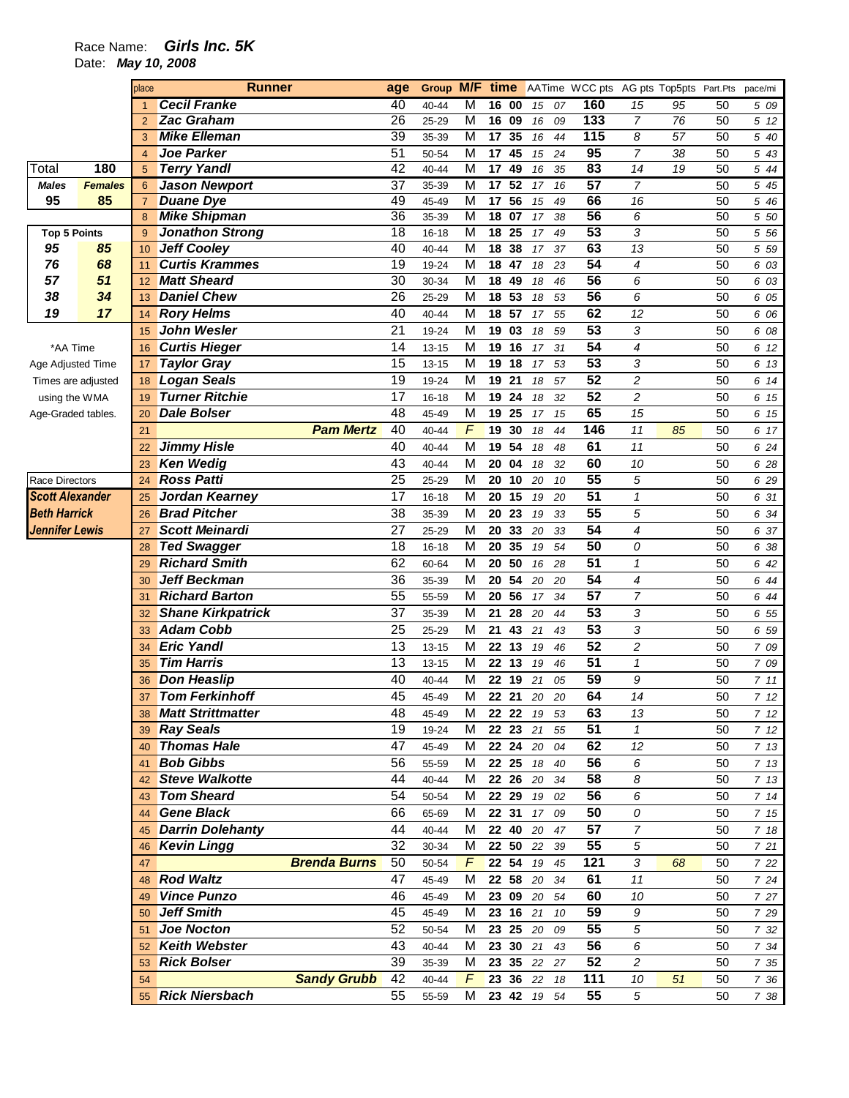## Race Name: **Girls Inc. 5K**

Date: **May 10, 2008** 

|                                         |                | place          | <b>Runner</b>                               |                     | age                                | Group          | M/F                          | time            |                 |          |          | AATime WCC pts AG pts Top5pts Part.Pts |                |                 |          | pace/mi      |
|-----------------------------------------|----------------|----------------|---------------------------------------------|---------------------|------------------------------------|----------------|------------------------------|-----------------|-----------------|----------|----------|----------------------------------------|----------------|-----------------|----------|--------------|
|                                         |                | $\mathbf{1}$   | <b>Cecil Franke</b>                         |                     | 40                                 | 40-44          | M                            | 16 00           |                 | 15       | 07       | 160                                    | 15             | 95              | 50       | 5 09         |
|                                         |                | $\overline{2}$ | <b>Zac Graham</b>                           |                     | $\overline{26}$                    | 25-29          | M                            | 16 09           |                 | 16       | 09       | 133                                    | $\overline{7}$ | $\overline{76}$ | 50       | 5 12         |
|                                         |                | 3              | <b>Mike Elleman</b>                         |                     | $\overline{39}$                    | 35-39          | $\overline{\mathsf{M}}$      | 17              | 35              | 16       | 44       | 115                                    | 8              | 57              | 50       | 5 40         |
|                                         |                | $\overline{4}$ | <b>Joe Parker</b>                           |                     | 51                                 | 50-54          | M                            | 17              | 45              | 15       | 24       | 95                                     | $\overline{7}$ | 38              | 50       | 5 43         |
| Total                                   | 180            | 5              | <b>Terry Yandl</b>                          |                     | 42                                 | $40 - 44$      | M                            | $\overline{17}$ | 49              | 16       | 35       | 83                                     | 14             | 19              | 50       | 5 44         |
| <b>Males</b>                            | <b>Females</b> | 6              | <b>Jason Newport</b>                        |                     | 37                                 | 35-39          | M                            | 17              | 52              | 17       | 16       | 57                                     | 7              |                 | 50       | 5 45         |
| 95                                      | 85             | $\overline{7}$ | <b>Duane Dye</b>                            |                     | 49                                 | 45-49          | $\overline{\mathsf{M}}$      | 17              | $\overline{56}$ | 15       | 49       | 66                                     | 16             |                 | 50       | 5 46         |
|                                         |                | 8              | <b>Mike Shipman</b>                         |                     | $\overline{36}$                    | 35-39          | $\overline{\mathsf{M}}$      | 18 07           |                 | 17       | 38       | 56                                     | 6              |                 | 50       | 5 50         |
| <b>Top 5 Points</b>                     |                | 9              | <b>Jonathon Strong</b>                      |                     | $\overline{18}$                    | $16 - 18$      | $\overline{\mathsf{M}}$      | 18              | 25              | 17       | 49       | 53                                     | 3              |                 | 50       | 5 5 6        |
| 95                                      | 85             | 10             | <b>Jeff Cooley</b>                          |                     | 40                                 | $40 - 44$      | $\overline{\mathsf{M}}$      | 18              | 38              | 17       | 37       | 63                                     | 13             |                 | 50       | 5 5 9        |
| 76<br>57                                | 68<br>51       | 11             | <b>Curtis Krammes</b><br><b>Matt Sheard</b> |                     | $\overline{19}$<br>$\overline{30}$ | 19-24          | M<br>$\overline{\mathsf{M}}$ | 18              | 47              | 18       | 23       | $\overline{54}$<br>56                  | 4              |                 | 50       | 6 03         |
| 38                                      | 34             | 12             | <b>Daniel Chew</b>                          |                     | 26                                 | 30-34          | M                            | 18<br>18 53     | 49              | 18       | 46       | 56                                     | 6              |                 | 50<br>50 | 6 03         |
| 19                                      | 17             | 13             | <b>Rory Helms</b>                           |                     | 40                                 | 25-29          | M                            | 18 57           |                 | 18       | 53       | 62                                     | 6              |                 |          | 6 05         |
|                                         |                | 14             | John Wesler                                 |                     | 21                                 | 40-44          | M                            | 19 03           |                 | 17       | 55       | 53                                     | 12             |                 | 50       | 6 06         |
|                                         |                | 15             | <b>Curtis Hieger</b>                        |                     | 14                                 | 19-24          | M                            | 19              | 16              | 18       | 59       | 54                                     | 3<br>4         |                 | 50<br>50 | 6 08         |
| *AA Time                                |                | 16             | <b>Taylor Gray</b>                          |                     | 15                                 | 13-15<br>13-15 | M                            | 19              | 18              | 17       | 31<br>53 | 53                                     | 3              |                 | 50       | 6 12         |
| Age Adjusted Time<br>Times are adjusted |                | 17             | <b>Logan Seals</b>                          |                     | 19                                 | 19-24          | M                            | 19              | 21              | 17       | 57       | 52                                     | 2              |                 | 50       | 6 13         |
|                                         |                | 18<br>19       | <b>Turner Ritchie</b>                       |                     | 17                                 | $16 - 18$      | M                            | 19              | 24              | 18<br>18 | 32       | 52                                     | 2              |                 | 50       | 6 14<br>6 15 |
| using the WMA                           |                |                | <b>Dale Bolser</b>                          |                     | 48                                 | 45-49          | M                            | 19              | 25              | 17       | 15       | 65                                     | 15             |                 | 50       |              |
| Age-Graded tables.                      |                | 20<br>21       |                                             | <b>Pam Mertz</b>    | 40                                 | $40 - 44$      | F                            | 19              | 30              | 18       | 44       | 146                                    | 11             | 85              | 50       | 6 15<br>6 17 |
|                                         |                | 22             | <b>Jimmy Hisle</b>                          |                     | 40                                 | $40 - 44$      | M                            | 19              | 54              | 18       | 48       | 61                                     | 11             |                 | 50       | 6 24         |
|                                         |                | 23             | <b>Ken Wedig</b>                            |                     | 43                                 | 40-44          | M                            | 20              | 04              | 18       | 32       | 60                                     | 10             |                 | 50       | 6 28         |
| <b>Race Directors</b>                   |                | 24             | <b>Ross Patti</b>                           |                     | 25                                 | 25-29          | M                            | 20              | 10              | 20       | 10       | 55                                     | 5              |                 | 50       | 6 29         |
| <b>Scott Alexander</b>                  |                | 25             | Jordan Kearney                              |                     | 17                                 | $16 - 18$      | M                            | 20              | 15              | 19       | 20       | 51                                     | $\mathbf{1}$   |                 | 50       | 6 31         |
| <b>Beth Harrick</b>                     |                | 26             | <b>Brad Pitcher</b>                         |                     | 38                                 | 35-39          | M                            | 20              | 23              | 19       | 33       | 55                                     | 5              |                 | 50       | 6 34         |
| <b>Jennifer Lewis</b>                   |                | 27             | <b>Scott Meinardi</b>                       |                     | 27                                 | 25-29          | M                            | 20              | 33              | 20       | 33       | 54                                     | 4              |                 | 50       | 6 37         |
|                                         |                | 28             | <b>Ted Swagger</b>                          |                     | 18                                 | $16 - 18$      | M                            | 20              | 35              | 19       | 54       | 50                                     | 0              |                 | 50       | 6 38         |
|                                         |                | 29             | <b>Richard Smith</b>                        |                     | 62                                 | 60-64          | M                            | 20 50           |                 | 16       | 28       | 51                                     | 1              |                 | 50       | 6 42         |
|                                         |                | 30             | <b>Jeff Beckman</b>                         |                     | 36                                 | 35-39          | M                            | 20              | 54              | 20       | 20       | 54                                     | 4              |                 | 50       | 6 44         |
|                                         |                | 31             | <b>Richard Barton</b>                       |                     | 55                                 | 55-59          | M                            | 20              | 56              | 17       | 34       | 57                                     | 7              |                 | 50       | 6 44         |
|                                         |                | 32             | <b>Shane Kirkpatrick</b>                    |                     | 37                                 | 35-39          | M                            | 21              | 28              | 20       | 44       | 53                                     | 3              |                 | 50       | 6 55         |
|                                         |                | 33             | <b>Adam Cobb</b>                            |                     | 25                                 | 25-29          | M                            | 21              | 43              | 21       | 43       | 53                                     | 3              |                 | 50       | 6 59         |
|                                         |                | 34             | <b>Eric Yandl</b>                           |                     | 13                                 | 13-15          | M                            |                 | 22 13           | 19       | 46       | 52                                     | 2              |                 | 50       | 7 09         |
|                                         |                | 35             | <b>Tim Harris</b>                           |                     | 13                                 | 13-15          | M                            |                 | 22 13           | 19       | 46       | 51                                     | 1              |                 | 50       | 7 09         |
|                                         |                | 36             | <b>Don Heaslip</b>                          |                     | 40                                 | 40-44          | M                            |                 | 22 19           | 21       | 05       | 59                                     | 9              |                 | 50       | 711          |
|                                         |                | 37             | <b>Tom Ferkinhoff</b>                       |                     | 45                                 | 45-49          | М                            | 22 21           |                 | 20       | 20       | 64                                     | 14             |                 | 50       | 7 12         |
|                                         |                | 38             | <b>Matt Strittmatter</b>                    |                     | 48                                 | 45-49          | м                            |                 | 22 22           | 19       | 53       | 63                                     | 13             |                 | 50       | 7 12         |
|                                         |                | 39             | <b>Ray Seals</b>                            |                     | 19                                 | 19-24          | M                            |                 | 22 23           | 21       | 55       | 51                                     | $\mathcal I$   |                 | 50       | 712          |
|                                         |                | 40             | <b>Thomas Hale</b>                          |                     | 47                                 | 45-49          | м                            |                 | 22 24           | 20       | 04       | 62                                     | 12             |                 | 50       | 7 13         |
|                                         |                | 41             | <b>Bob Gibbs</b>                            |                     | 56                                 | 55-59          | M                            |                 | 22 25           | 18       | 40       | 56                                     | 6              |                 | 50       | 7 13         |
|                                         |                | 42             | <b>Steve Walkotte</b>                       |                     | 44                                 | 40-44          | м                            |                 | 22 26           | 20       | 34       | 58                                     | 8              |                 | 50       | 7 13         |
|                                         |                | 43             | <b>Tom Sheard</b>                           |                     | 54                                 | 50-54          | M                            |                 | 22 29           | 19       | 02       | 56                                     | 6              |                 | 50       | 714          |
|                                         |                | 44             | <b>Gene Black</b>                           |                     | 66                                 | 65-69          | M                            |                 | 22 31           | 17       | 09       | 50                                     | 0              |                 | 50       | 7 15         |
|                                         |                | 45             | <b>Darrin Dolehanty</b>                     |                     | 44                                 | 40-44          | м                            |                 | 22 40           | 20       | 47       | 57                                     | 7              |                 | 50       | 7 18         |
|                                         |                | 46             | <b>Kevin Lingg</b>                          |                     | 32                                 | 30-34          | M                            |                 | 22 50           | 22       | 39       | 55                                     | 5              |                 | 50       | 7 21         |
|                                         |                | 47             |                                             | <b>Brenda Burns</b> | 50                                 | 50-54          | F                            |                 | 22 54           | 19       | 45       | 121                                    | 3              | 68              | 50       | 7 22         |
|                                         |                | 48             | <b>Rod Waltz</b>                            |                     | 47                                 | 45-49          | M                            |                 | 22 58           | 20       | 34       | 61                                     | 11             |                 | 50       | 7 24         |
|                                         |                | 49             | <b>Vince Punzo</b>                          |                     | 46                                 | 45-49          | м                            |                 | 23 09           | 20       | 54       | 60                                     | 10             |                 | 50       | 7 27         |
|                                         |                | 50             | <b>Jeff Smith</b>                           |                     | 45                                 | 45-49          | M                            |                 | 23 16           | 21       | 10       | 59                                     | 9              |                 | 50       | 7 29         |
|                                         |                | 51             | <b>Joe Nocton</b>                           |                     | 52                                 | 50-54          | м                            |                 | 23 25           | 20       | 09       | 55                                     | 5              |                 | 50       | 7 32         |
|                                         |                | 52             | <b>Keith Webster</b>                        |                     | 43                                 | 40-44          | м                            |                 | 23 30           | 21       | 43       | 56                                     | 6              |                 | 50       | 7 34         |
|                                         |                | 53             | <b>Rick Bolser</b>                          |                     | 39                                 | 35-39          | M                            |                 | 23 35           | 22       | 27       | 52                                     | 2              |                 | 50       | 7 35         |
|                                         |                | 54             |                                             | <b>Sandy Grubb</b>  | 42                                 | 40-44          | F                            |                 | 23 36           | 22       | 18       | 111                                    | 10             | 51              | 50       | 7 36         |
|                                         |                | 55             | <b>Rick Niersbach</b>                       |                     | 55                                 | 55-59          | M                            |                 | 23 42           | 19       | 54       | 55                                     | 5              |                 | 50       | 7 38         |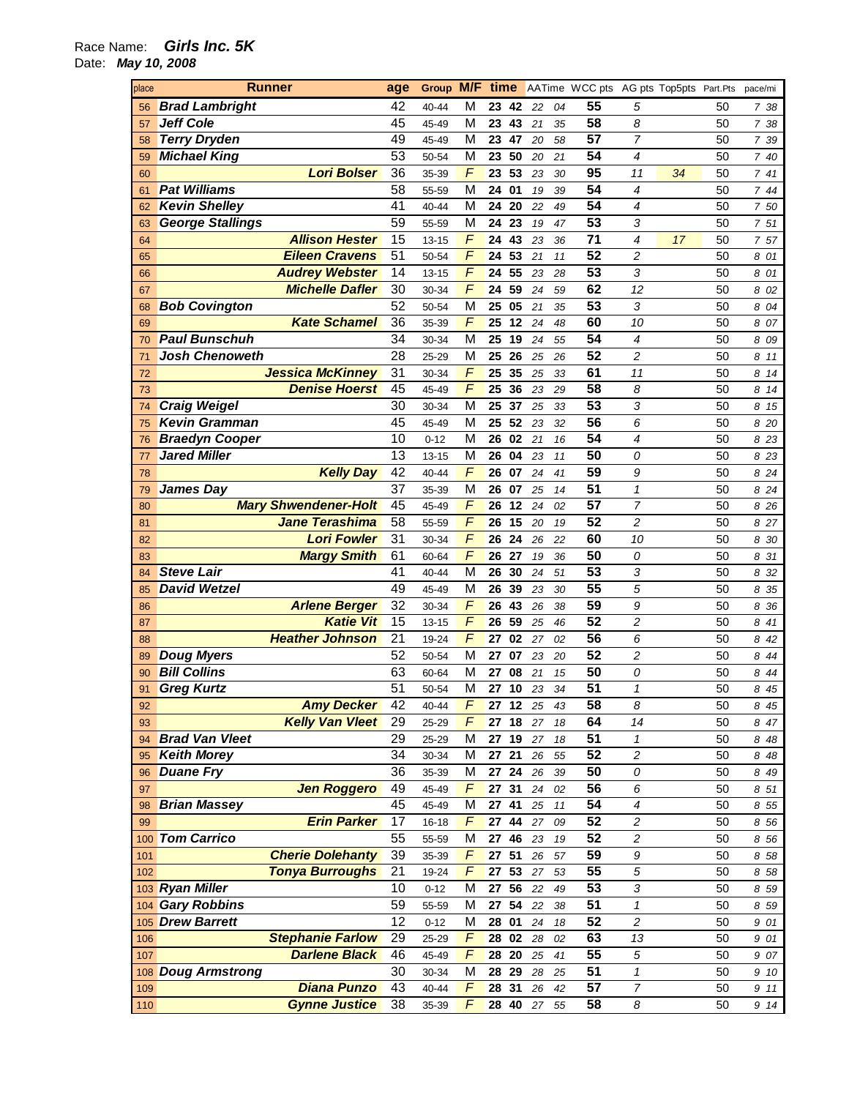## Race Name: **Girls Inc. 5K**

Date: **May 10, 2008** 

| place | Runner                      | age             | Group     | M/F            | time     |    |    | AATime WCC pts AG pts Top5pts Part.Pts |                  |    |    | pace/mi |
|-------|-----------------------------|-----------------|-----------|----------------|----------|----|----|----------------------------------------|------------------|----|----|---------|
| 56    | <b>Brad Lambright</b>       | 42              | 40-44     | M              | 23<br>42 | 22 | 04 | 55                                     | 5                |    | 50 | 738     |
| 57    | <b>Jeff Cole</b>            | 45              | 45-49     | М              | 23<br>43 | 21 | 35 | 58                                     | 8                |    | 50 | 7 38    |
| 58    | <b>Terry Dryden</b>         | 49              | 45-49     | М              | 23<br>47 | 20 | 58 | $\overline{57}$                        | $\overline{7}$   |    | 50 | 7 39    |
| 59    | <b>Michael King</b>         | $\overline{53}$ | 50-54     | M              | 50<br>23 | 20 | 21 | 54                                     | 4                |    | 50 | 7 40    |
| 60    | <b>Lori Bolser</b>          | 36              | 35-39     | F              | 53<br>23 | 23 | 30 | 95                                     | 11               | 34 | 50 | 7 41    |
| 61    | <b>Pat Williams</b>         | 58              | 55-59     | M              | 24<br>01 | 19 | 39 | 54                                     | 4                |    | 50 | 744     |
| 62    | <b>Kevin Shelley</b>        | 41              | 40-44     | М              | 20<br>24 | 22 | 49 | 54                                     | 4                |    | 50 | 7 50    |
| 63    | <b>George Stallings</b>     | $\overline{59}$ | 55-59     | M              | 24<br>23 | 19 | 47 | $\overline{53}$                        | 3                |    | 50 | 7 51    |
| 64    | <b>Allison Hester</b>       | 15              | $13 - 15$ | F              | 24<br>43 | 23 | 36 | 71                                     | 4                | 17 | 50 | 7 57    |
| 65    | <b>Eileen Cravens</b>       | $\overline{51}$ | 50-54     | $\overline{F}$ | 53<br>24 | 21 | 11 | $\overline{52}$                        | $\overline{c}$   |    | 50 | 8 01    |
| 66    | <b>Audrey Webster</b>       | 14              | 13-15     | $\overline{F}$ | 55<br>24 | 23 | 28 | $\overline{53}$                        | 3                |    | 50 | 8<br>01 |
| 67    | <b>Michelle Dafler</b>      | 30              | 30-34     | $\overline{F}$ | 59<br>24 | 24 | 59 | 62                                     | 12               |    | 50 | 8<br>02 |
| 68    | <b>Bob Covington</b>        | $\overline{52}$ | 50-54     | M              | 25<br>05 | 21 | 35 | 53                                     | 3                |    | 50 | 8<br>04 |
| 69    | <b>Kate Schamel</b>         | $\overline{36}$ | 35-39     | F              | 25<br>12 | 24 | 48 | 60                                     | 10               |    | 50 | 8<br>07 |
| 70    | <b>Paul Bunschuh</b>        | 34              | 30-34     | M              | 25<br>19 | 24 | 55 | 54                                     | 4                |    | 50 | 8<br>09 |
| 71    | <b>Josh Chenoweth</b>       | $\overline{28}$ | 25-29     | M              | 26<br>25 | 25 | 26 | $\overline{52}$                        | $\overline{c}$   |    | 50 | 8<br>11 |
| 72    | <b>Jessica McKinney</b>     | $\overline{31}$ | 30-34     | F              | 35<br>25 | 25 | 33 | 61                                     | 11               |    | 50 | 8<br>14 |
| 73    | <b>Denise Hoerst</b>        | 45              | 45-49     | $\overline{F}$ | 36<br>25 | 23 | 29 | 58                                     | 8                |    | 50 | 8<br>14 |
| 74    | <b>Craig Weigel</b>         | $\overline{30}$ | 30-34     | M              | 25<br>37 | 25 | 33 | $\overline{53}$                        | 3                |    | 50 | 8<br>15 |
| 75    | <b>Kevin Gramman</b>        | 45              | 45-49     | M              | 52<br>25 | 23 | 32 | 56                                     | 6                |    | 50 | 8<br>20 |
| 76    | <b>Braedyn Cooper</b>       | 10              | $0 - 12$  | M              | 26<br>02 | 21 | 16 | 54                                     | 4                |    | 50 | 8<br>23 |
| 77    | <b>Jared Miller</b>         | 13              | 13-15     | М              | 26<br>04 | 23 | 11 | 50                                     | 0                |    | 50 | 8<br>23 |
|       |                             | 42              |           | $\overline{F}$ | 26<br>07 |    |    | $\overline{59}$                        |                  |    | 50 |         |
| 78    | <b>Kelly Day</b>            | $\overline{37}$ | 40-44     | M              |          | 24 | 41 | 51                                     | 9                |    |    | 8<br>24 |
| 79    | <b>James Day</b>            |                 | 35-39     |                | 26<br>07 | 25 | 14 | $\overline{57}$                        | 1                |    | 50 | 8<br>24 |
| 80    | <b>Mary Shwendener-Holt</b> | 45              | 45-49     | F              | 12<br>26 | 24 | 02 |                                        | $\overline{7}$   |    | 50 | 8<br>26 |
| 81    | <b>Jane Terashima</b>       | $\overline{58}$ | 55-59     | $\overline{F}$ | 26<br>15 | 20 | 19 | $\overline{52}$                        | $\overline{c}$   |    | 50 | 8<br>27 |
| 82    | <b>Lori Fowler</b>          | $\overline{31}$ | 30-34     | $\overline{F}$ | 24<br>26 | 26 | 22 | 60                                     | 10               |    | 50 | 8<br>30 |
| 83    | <b>Margy Smith</b>          | 61              | 60-64     | $\overline{F}$ | 27<br>26 | 19 | 36 | 50                                     | 0                |    | 50 | 8<br>31 |
| 84    | <b>Steve Lair</b>           | 41              | 40-44     | M              | 26<br>30 | 24 | 51 | 53                                     | 3                |    | 50 | 8<br>32 |
| 85    | <b>David Wetzel</b>         | 49              | 45-49     | M              | 26<br>39 | 23 | 30 | $\overline{55}$                        | 5                |    | 50 | 8<br>35 |
| 86    | <b>Arlene Berger</b>        | $\overline{32}$ | 30-34     | F              | 26<br>43 | 26 | 38 | 59                                     | 9                |    | 50 | 8<br>36 |
| 87    | <b>Katie Vit</b>            | 15              | 13-15     | $\overline{F}$ | 59<br>26 | 25 | 46 | $\overline{52}$                        | $\overline{c}$   |    | 50 | 8<br>41 |
| 88    | <b>Heather Johnson</b>      | $\overline{21}$ | 19-24     | F              | 27<br>02 | 27 | 02 | 56                                     | 6                |    | 50 | 8<br>42 |
| 89    | <b>Doug Myers</b>           | 52              | 50-54     | M              | 27<br>07 | 23 | 20 | $\overline{52}$                        | 2                |    | 50 | 8<br>44 |
| 90    | <b>Bill Collins</b>         | 63              | 60-64     | M              | 27<br>08 | 21 | 15 | 50                                     | 0                |    | 50 | 8<br>44 |
| 91    | <b>Greg Kurtz</b>           | 51              | 50-54     | M              | 27<br>10 | 23 | 34 | 51                                     | $\mathcal I$     |    | 50 | 8 45    |
| 92    | <b>Amy Decker</b>           | 42              | 40-44     | F              | 27<br>12 | 25 | 43 | 58                                     | 8                |    | 50 | 8 45    |
| 93    | <b>Kelly Van Vleet</b>      | 29              | 25-29     | F              | 18<br>27 | 27 | 18 | 64                                     | 14               |    | 50 | 8 47    |
| 94    | <b>Brad Van Vleet</b>       | 29              | 25-29     | М              | 19<br>27 | 27 | 18 | 51                                     | 1                |    | 50 | 848     |
| 95    | <b>Keith Morey</b>          | 34              | 30-34     | М              | 21<br>27 | 26 | 55 | 52                                     | 2                |    | 50 | 8 48    |
| 96    | <b>Duane Fry</b>            | $\overline{36}$ | 35-39     | М              | 24<br>27 | 26 | 39 | 50                                     | 0                |    | 50 | 8 49    |
| 97    | <b>Jen Roggero</b>          | 49              | 45-49     | F              | 27<br>31 | 24 | 02 | 56                                     | 6                |    | 50 | 8 51    |
| 98    | <b>Brian Massey</b>         | 45              | 45-49     | M              | 41<br>27 | 25 | 11 | 54                                     | 4                |    | 50 | 8 55    |
| 99    | <b>Erin Parker</b>          | 17              | 16-18     | F              | 44<br>27 | 27 | 09 | 52                                     | 2                |    | 50 | 8 56    |
| 100   | <b>Tom Carrico</b>          | $\overline{55}$ | 55-59     | М              | 27<br>46 | 23 | 19 | $\overline{52}$                        | 2                |    | 50 | 8 56    |
| 101   | <b>Cherie Dolehanty</b>     | 39              | 35-39     | F              | 51<br>27 | 26 | 57 | 59                                     | 9                |    | 50 | 8 58    |
| 102   | <b>Tonya Burroughs</b>      | 21              | 19-24     | F              | 53<br>27 | 27 | 53 | 55                                     | 5                |    | 50 | 8 58    |
|       | 103 Ryan Miller             | 10              | $0 - 12$  | M              | 56<br>27 | 22 | 49 | $\overline{53}$                        | 3                |    | 50 | 8 59    |
| 104   | <b>Gary Robbins</b>         | 59              | 55-59     | M              | 27<br>54 | 22 | 38 | $\overline{51}$                        | 1                |    | 50 | 8 59    |
|       | 105 Drew Barrett            | 12              | $0 - 12$  | M              | 28<br>01 | 24 | 18 | 52                                     | 2                |    | 50 | 9 01    |
| 106   | <b>Stephanie Farlow</b>     | 29              | 25-29     | F              | 28<br>02 | 28 | 02 | 63                                     | 13               |    | 50 | 9 01    |
| 107   | <b>Darlene Black</b>        | 46              | 45-49     | F              | 20<br>28 | 25 | 41 | $\overline{55}$                        | 5                |    | 50 | 9 07    |
| 108   | <b>Doug Armstrong</b>       | 30              | 30-34     | M              | 29<br>28 | 28 | 25 | $\overline{51}$                        | 1                |    | 50 | 9 10    |
| 109   | <b>Diana Punzo</b>          | 43              | 40-44     | F              | 28<br>31 | 26 | 42 | $\overline{57}$                        | $\boldsymbol{7}$ |    | 50 | 9 11    |
| 110   | <b>Gynne Justice</b>        | 38              | 35-39     | F              | 28 40    | 27 | 55 | 58                                     | 8                |    | 50 | 9 14    |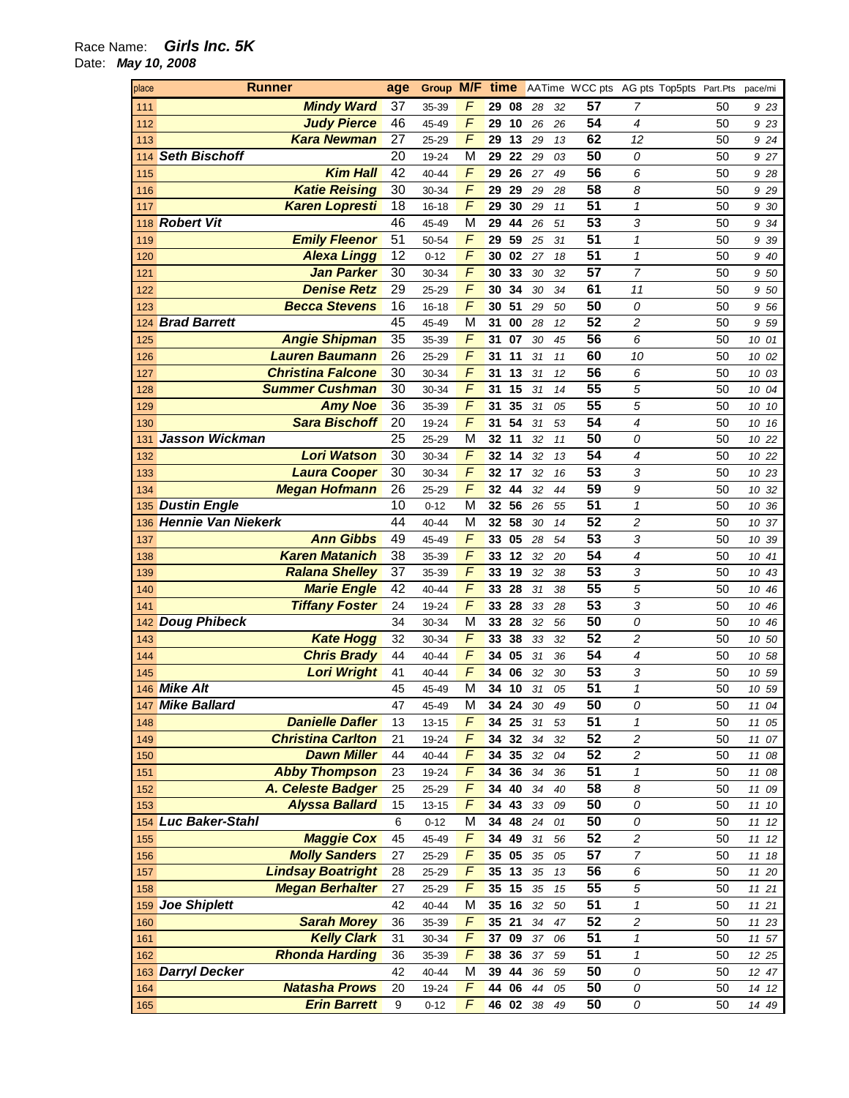| place | <b>Runner</b>            | age | Group M/F time |                |          |    |    | AATime WCC pts AG pts Top5pts Part.Pts |                |    | pace/mi |
|-------|--------------------------|-----|----------------|----------------|----------|----|----|----------------------------------------|----------------|----|---------|
| 111   | <b>Mindy Ward</b>        | 37  | 35-39          | F              | 29<br>08 | 28 | 32 | 57                                     | 7              | 50 | 9 23    |
| 112   | <b>Judy Pierce</b>       | 46  | 45-49          | F              | 10<br>29 | 26 | 26 | 54                                     | 4              | 50 | 9 2 3   |
| 113   | <b>Kara Newman</b>       | 27  | 25-29          | F              | 13<br>29 | 29 | 13 | 62                                     | 12             | 50 | 9 24    |
| 114   | <b>Seth Bischoff</b>     | 20  | 19-24          | M              | 22<br>29 | 29 | 03 | 50                                     | 0              | 50 | 9 27    |
| 115   | <b>Kim Hall</b>          | 42  | 40-44          | F              | 26<br>29 | 27 | 49 | 56                                     | 6              | 50 | 9 28    |
| 116   | <b>Katie Reising</b>     | 30  | 30-34          | F              | 29<br>29 | 29 | 28 | 58                                     | 8              | 50 | 9 2 9   |
| 117   | <b>Karen Lopresti</b>    | 18  | 16-18          | F              | 30<br>29 | 29 | 11 | 51                                     | $\mathbf{1}$   | 50 | 9 30    |
|       | 118 Robert Vit           | 46  | 45-49          | M              | 44<br>29 | 26 | 51 | $\overline{53}$                        | 3              | 50 | 9 34    |
| 119   | <b>Emily Fleenor</b>     | 51  | 50-54          | F              | 59<br>29 | 25 | 31 | $\overline{51}$                        | $\mathbf{1}$   | 50 | 9 39    |
| 120   | <b>Alexa Lingg</b>       | 12  | $0 - 12$       | F              | 30<br>02 | 27 | 18 | $\overline{51}$                        | $\mathbf{1}$   | 50 | 9 40    |
| 121   | Jan Parker               | 30  | 30-34          | $\overline{F}$ | 33<br>30 | 30 | 32 | $\overline{57}$                        | $\overline{7}$ | 50 | 9 50    |
| 122   | <b>Denise Retz</b>       | 29  | 25-29          | F              | 34<br>30 | 30 | 34 | 61                                     | 11             | 50 | 9 50    |
| 123   | <b>Becca Stevens</b>     | 16  | 16-18          | F              | 51<br>30 | 29 | 50 | 50                                     | 0              | 50 | 9 56    |
|       | 124 Brad Barrett         | 45  | 45-49          | M              | 31<br>00 | 28 | 12 | 52                                     | $\overline{c}$ | 50 | 9 59    |
| 125   | <b>Angie Shipman</b>     | 35  | 35-39          | F              | 07<br>31 | 30 | 45 | 56                                     | 6              | 50 | 10 01   |
| 126   | <b>Lauren Baumann</b>    | 26  | 25-29          | F              | 11<br>31 | 31 | 11 | 60                                     | 10             | 50 | 10 02   |
| 127   | <b>Christina Falcone</b> | 30  | 30-34          | F              | 13<br>31 | 31 | 12 | 56                                     | 6              | 50 | 10 03   |
| 128   | <b>Summer Cushman</b>    | 30  | 30-34          | F              | 15<br>31 | 31 | 14 | 55                                     | 5              | 50 | 10 04   |
| 129   | <b>Amy Noe</b>           | 36  | 35-39          | F              | 35<br>31 | 31 | 05 | $\overline{55}$                        | 5              | 50 | 10 10   |
| 130   | <b>Sara Bischoff</b>     | 20  | 19-24          | F              | 54<br>31 | 31 | 53 | 54                                     | 4              | 50 | 10 16   |
| 131   | Jasson Wickman           | 25  | 25-29          | M              | 11<br>32 | 32 | 11 | 50                                     | 0              | 50 | 10 22   |
| 132   | <b>Lori Watson</b>       | 30  | 30-34          | F              | 14<br>32 | 32 | 13 | 54                                     | 4              | 50 | 10 22   |
| 133   | <b>Laura Cooper</b>      | 30  | 30-34          | F              | 17<br>32 | 32 | 16 | 53                                     | 3              | 50 | 10 23   |
| 134   | <b>Megan Hofmann</b>     | 26  | 25-29          | F              | 44<br>32 | 32 | 44 | 59                                     | 9              | 50 | 10 32   |
|       | 135 Dustin Engle         | 10  | $0 - 12$       | M              | 56<br>32 | 26 | 55 | 51                                     | $\mathbf{1}$   | 50 | 10 36   |
|       | 136 Hennie Van Niekerk   | 44  | 40-44          | M              | 58<br>32 | 30 | 14 | $\overline{52}$                        | 2              | 50 | 10 37   |
| 137   | <b>Ann Gibbs</b>         | 49  | 45-49          | F              | 05<br>33 | 28 | 54 | 53                                     | 3              | 50 | 10 39   |
| 138   | <b>Karen Matanich</b>    | 38  | 35-39          | F              | 12<br>33 | 32 | 20 | $\overline{54}$                        | 4              | 50 | 10 41   |
| 139   | <b>Ralana Shelley</b>    | 37  | 35-39          | F              | 19<br>33 | 32 | 38 | 53                                     | 3              | 50 | 10 43   |
| 140   | <b>Marie Engle</b>       | 42  | 40-44          | F              | 28<br>33 | 31 | 38 | $\overline{55}$                        | 5              | 50 | 10 46   |
| 141   | <b>Tiffany Foster</b>    | 24  | 19-24          | F              | 28<br>33 | 33 | 28 | $\overline{53}$                        | 3              | 50 | 10 46   |
|       | 142 Doug Phibeck         | 34  | 30-34          | M              | 28<br>33 | 32 | 56 | 50                                     | 0              | 50 | 10 46   |
| 143   | <b>Kate Hogg</b>         | 32  | 30-34          | F              | 38<br>33 | 33 | 32 | $\overline{52}$                        | 2              | 50 | 10 50   |
| 144   | <b>Chris Brady</b>       | 44  | 40-44          | F              | 34<br>05 | 31 | 36 | 54                                     | $\overline{4}$ | 50 | 10 58   |
| 145   | <b>Lori Wright</b>       | 41  | 40-44          | F              | 34<br>06 | 32 | 30 | $\overline{53}$                        | 3              | 50 | 10 59   |
|       | 146 Mike Alt             | 45  | 45-49          | M              | 34<br>10 | 31 | 05 | 51                                     | $\mathbf{1}$   | 50 | 10 59   |
|       | 147 Mike Ballard         | 47  | 45-49          | M              | 34<br>24 | 30 | 49 | 50                                     | 0              | 50 | 11 04   |
| 148   | <b>Danielle Dafler</b>   | 13  | 13-15          | F              | 25<br>34 | 31 | 53 | 51                                     | $\mathbf{1}$   | 50 | 11 05   |
| 149   | <b>Christina Carlton</b> | 21  | 19-24          | F              | 32<br>34 | 34 | 32 | $\overline{52}$                        | 2              | 50 | 11 07   |
| 150   | <b>Dawn Miller</b>       | 44  | 40-44          | F              | 35<br>34 | 32 | 04 | 52                                     | 2              | 50 | 11 08   |
| 151   | <b>Abby Thompson</b>     | 23  | 19-24          | F              | 34 36    | 34 | 36 | $\overline{51}$                        | 1              | 50 | 11 08   |
| 152   | A. Celeste Badger        | 25  | 25-29          | F              | 34 40    | 34 | 40 | 58                                     | 8              | 50 | 11 09   |
| 153   | <b>Alyssa Ballard</b>    | 15  | $13 - 15$      | F              | 43<br>34 | 33 | 09 | 50                                     | 0              | 50 | 11 10   |
|       | 154 Luc Baker-Stahl      | 6   | $0 - 12$       | M              | 48<br>34 | 24 | 01 | 50                                     | 0              | 50 | 11 12   |
| 155   | <b>Maggie Cox</b>        | 45  | 45-49          | F              | 34 49    | 31 | 56 | 52                                     | 2              | 50 | 11 12   |
| 156   | <b>Molly Sanders</b>     | 27  | 25-29          | F              | 05<br>35 | 35 | 05 | $\overline{57}$                        | 7              | 50 | 11 18   |
| 157   | <b>Lindsay Boatright</b> | 28  | 25-29          | F              | 13<br>35 | 35 | 13 | 56                                     | 6              | 50 | 11 20   |
| 158   | <b>Megan Berhalter</b>   | 27  | 25-29          | F              | 15<br>35 | 35 | 15 | $\overline{55}$                        | 5              | 50 | 11 21   |
|       | 159 Joe Shiplett         | 42  | 40-44          | M              | 16<br>35 | 32 | 50 | 51                                     | 1              | 50 | 11 21   |
| 160   | <b>Sarah Morey</b>       | 36  | 35-39          | F              | 21<br>35 | 34 | 47 | $\overline{52}$                        | 2              | 50 | 11 23   |
| 161   | <b>Kelly Clark</b>       | 31  | 30-34          | F              | 09<br>37 | 37 | 06 | 51                                     | 1              | 50 | 11 57   |
| 162   | <b>Rhonda Harding</b>    | 36  | 35-39          | F              | 36<br>38 | 37 | 59 | $\overline{51}$                        | $\mathbf 1$    | 50 | 12 25   |
|       | 163 Darryl Decker        | 42  | 40-44          | M              | 44<br>39 | 36 | 59 | 50                                     | 0              | 50 | 12 47   |
| 164   | <b>Natasha Prows</b>     | 20  | 19-24          | F              | 06<br>44 | 44 | 05 | 50                                     | 0              | 50 | 14 12   |
| 165   | <b>Erin Barrett</b>      | 9   | $0 - 12$       | F              | 46<br>02 | 38 | 49 | 50                                     | 0              | 50 | 14 49   |